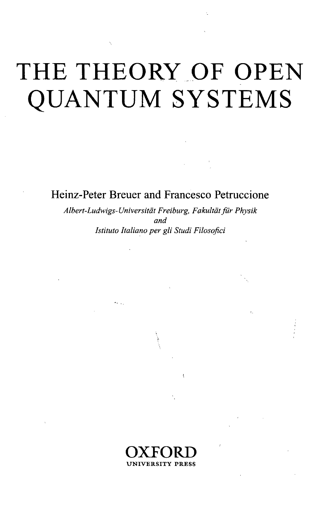## THE THEORY OF OPEN QUANTUM SYSTEMS

Heinz-Peter Breuer and Francesco Petruccione

*Albert-Ludwigs-Universitdt Freiburg, Fakultdt fur Physik and Istituto Italiano per gli Studi Filosofici*

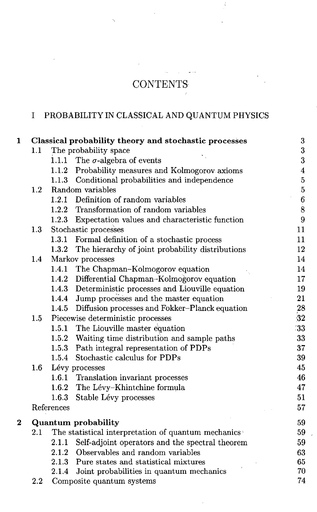## CONTENTS

## I PROBABILITY IN CLASSICAL AND QUANTUM PHYSICS

| 1        |            |                                                     | Classical probability theory and stochastic processes  | $\bf 3$                 |  |
|----------|------------|-----------------------------------------------------|--------------------------------------------------------|-------------------------|--|
|          | 1.1        | The probability space                               |                                                        | 3                       |  |
|          |            |                                                     | 1.1.1 The $\sigma$ -algebra of events                  | $\overline{\mathbf{3}}$ |  |
|          |            |                                                     | 1.1.2 Probability measures and Kolmogorov axioms       | $\overline{4}$          |  |
|          |            |                                                     | 1.1.3 Conditional probabilities and independence       | $\overline{5}$          |  |
|          | $1.2\,$    |                                                     | Random variables                                       | $\overline{5}$          |  |
|          |            |                                                     | 1.2.1 Definition of random variables                   | $\bf{6}$                |  |
|          |            |                                                     | 1.2.2 Transformation of random variables               | $\boldsymbol{8}$        |  |
|          |            |                                                     | 1.2.3 Expectation values and characteristic function   | $\boldsymbol{9}$        |  |
|          | 1.3        |                                                     | Stochastic processes                                   |                         |  |
|          |            |                                                     | 1.3.1 Formal definition of a stochastic process        | 11                      |  |
|          |            |                                                     | 1.3.2 The hierarchy of joint probability distributions | 12                      |  |
|          | 1.4        |                                                     | Markov processes                                       | 14                      |  |
|          |            |                                                     | 1.4.1 The Chapman-Kolmogorov equation                  | 14                      |  |
|          |            |                                                     | 1.4.2 Differential Chapman-Kolmogorov equation         | 17                      |  |
|          |            |                                                     | 1.4.3 Deterministic processes and Liouville equation   | 19                      |  |
|          |            |                                                     | 1.4.4 Jump processes and the master equation           | 21                      |  |
|          |            |                                                     | 1.4.5 Diffusion processes and Fokker-Planck equation   | 28                      |  |
|          | 1.5        |                                                     | Piecewise deterministic processes                      | 32                      |  |
|          |            | 1.5.1                                               | The Liouville master equation                          | 33                      |  |
|          |            |                                                     | 1.5.2 Waiting time distribution and sample paths       | 33                      |  |
|          |            |                                                     | 1.5.3 Path integral representation of PDPs             | 37                      |  |
|          |            | 1.5.4                                               | Stochastic calculus for PDPs                           | 39                      |  |
|          | $1.6\,$    | Lévy processes                                      |                                                        |                         |  |
|          |            |                                                     | 1.6.1 Translation invariant processes                  | 46                      |  |
|          |            |                                                     | 1.6.2 The Lévy-Khintchine formula                      | 47                      |  |
|          |            | 1.6.3                                               | Stable Lévy processes                                  | 51                      |  |
|          | References |                                                     |                                                        | 57                      |  |
| $\bf{2}$ |            |                                                     | Quantum probability                                    | 59                      |  |
|          | $2.1\,$    | The statistical interpretation of quantum mechanics |                                                        |                         |  |
|          |            | 2.1.1                                               | Self-adjoint operators and the spectral theorem        | 59                      |  |
|          |            |                                                     | 2.1.2 Observables and random variables                 | 63                      |  |
|          |            |                                                     | 2.1.3 Pure states and statistical mixtures             | 65                      |  |
|          |            |                                                     | 2.1.4 Joint probabilities in quantum mechanics         | 70                      |  |
|          | 2.2        |                                                     | Composite quantum systems                              | 74                      |  |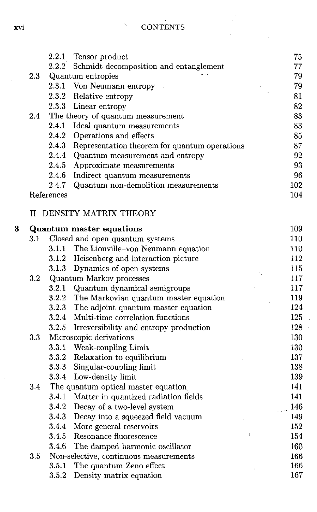| <b>CONTENTS</b> |
|-----------------|

 $\overline{\phantom{0}}$ 

 $\bar{\lambda}_\alpha$ 

|         |            | 2.2.1 Tensor product                                | 75  |
|---------|------------|-----------------------------------------------------|-----|
|         | 2.2.2      | Schmidt decomposition and entanglement              | 77  |
| $2.3\,$ |            | Quantum entropies                                   | 79  |
|         |            | 2.3.1 Von Neumann entropy                           | 79  |
|         |            | 2.3.2 Relative entropy                              | 81  |
|         |            | 2.3.3 Linear entropy                                | 82  |
| 2.4     |            | The theory of quantum measurement                   | 83  |
|         |            | 2.4.1 Ideal quantum measurements                    | 83  |
|         |            | 2.4.2 Operations and effects                        | 85  |
|         |            | 2.4.3 Representation theorem for quantum operations | 87  |
|         |            | 2.4.4 Quantum measurement and entropy               | 92  |
|         |            | 2.4.5 Approximate measurements                      | 93  |
|         |            | 2.4.6 Indirect quantum measurements                 | 96  |
|         | 2.4.7      | Quantum non-demolition measurements                 | 102 |
|         | References |                                                     | 104 |
|         |            | <b>II DENSITY MATRIX THEORY</b>                     |     |
|         |            | <b>Quantum master equations</b>                     | 109 |
| $3.1\,$ |            | Closed and open quantum systems                     | 110 |
|         |            | 3.1.1 The Liouville-von Neumann equation            | 110 |
|         |            | 3.1.2 Heisenberg and interaction picture            | 112 |
|         |            | 3.1.3 Dynamics of open systems                      | 115 |
| $3.2\,$ |            | Quantum Markov processes                            | 117 |
|         |            | 3.2.1 Quantum dynamical semigroups                  | 117 |
|         |            | 3.2.2 The Markovian quantum master equation         | 119 |
|         |            | 3.2.3 The adjoint quantum master equation           | 124 |
|         |            | 3.2.4 Multi-time correlation functions              | 125 |
|         | 3.2.5      | Irreversibility and entropy production              | 128 |
| $3.3\,$ |            | Microscopic derivations                             | 130 |
|         |            | 3.3.1 Weak-coupling Limit                           | 130 |
|         |            | 3.3.2 Relaxation to equilibrium                     | 137 |
|         |            | 3.3.3 Singular-coupling limit                       | 138 |
|         |            | 3.3.4 Low-density limit                             | 139 |
| 3.4     |            | The quantum optical master equation                 | 141 |
|         |            | 3.4.1 Matter in quantized radiation fields          | 141 |
|         |            | 3.4.2 Decay of a two-level system                   | 146 |
|         |            | 3.4.3 Decay into a squeezed field vacuum            | 149 |
|         |            | 3.4.4 More general reservoirs                       | 152 |
|         | 3.4.5      | Resonance fluorescence                              | 154 |
|         | 3.4.6      | The damped harmonic oscillator                      | 160 |
| $3.5\,$ |            | Non-selective, continuous measurements              | 166 |
|         | 3.5.1      | The quantum Zeno effect                             | 166 |
|         | 3.5.2      | Density matrix equation                             | 167 |

 $\bf{3}$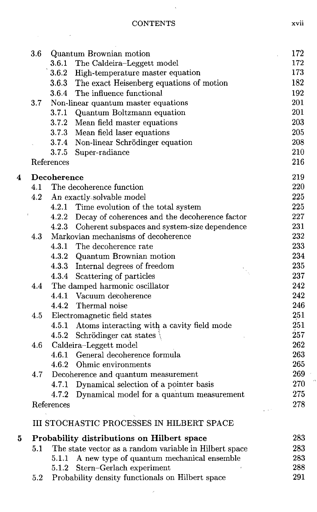$\sim$   $\sim$ 

 $\sim$ 

|   | 3.6                             |             | Quantum Brownian motion                                | 172 |
|---|---------------------------------|-------------|--------------------------------------------------------|-----|
|   |                                 |             | 3.6.1 The Caldeira-Leggett model                       | 172 |
|   |                                 |             | 3.6.2 High-temperature master equation                 | 173 |
|   |                                 |             | 3.6.3 The exact Heisenberg equations of motion         | 182 |
|   |                                 |             | 3.6.4 The influence functional                         | 192 |
|   | 3.7                             |             | Non-linear quantum master equations                    | 201 |
|   |                                 |             | 3.7.1 Quantum Boltzmann equation                       | 201 |
|   |                                 |             | 3.7.2 Mean field master equations                      | 203 |
|   |                                 |             | 3.7.3 Mean field laser equations                       | 205 |
|   |                                 |             | 3.7.4 Non-linear Schrödinger equation                  | 208 |
|   |                                 |             | 3.7.5 Super-radiance                                   | 210 |
|   |                                 | References  |                                                        | 216 |
| 4 |                                 | Decoherence |                                                        | 219 |
|   | 4.1<br>The decoherence function |             |                                                        |     |
|   | 4.2                             |             | An exactly-solvable model                              | 225 |
|   |                                 |             | 4.2.1 Time evolution of the total system               | 225 |
|   |                                 |             | 4.2.2 Decay of coherences and the decoherence factor   | 227 |
|   |                                 |             | 4.2.3 Coherent subspaces and system-size dependence    | 231 |
|   | 4.3                             |             | Markovian mechanisms of decoherence                    | 232 |
|   |                                 |             | 4.3.1 The decoherence rate                             | 233 |
|   |                                 |             | 4.3.2 Quantum Brownian motion                          | 234 |
|   |                                 |             | 4.3.3 Internal degrees of freedom                      | 235 |
|   |                                 |             | 4.3.4 Scattering of particles                          | 237 |
|   | 4.4                             |             | The damped harmonic oscillator                         | 242 |
|   |                                 |             | 4.4.1 Vacuum decoherence                               | 242 |
|   |                                 |             | 4.4.2 Thermal noise                                    | 246 |
|   | 4.5                             |             | Electromagnetic field states                           | 251 |
|   |                                 | 4.5.1       | Atoms interacting with a cavity field mode             | 251 |
|   |                                 |             | 4.5.2 Schrödinger cat states                           | 257 |
|   | 4.6                             |             | Caldeira-Leggett model                                 | 262 |
|   |                                 |             | 4.6.1 General decoherence formula                      | 263 |
|   |                                 |             | 4.6.2 Ohmic environments                               | 265 |
|   | 4.7                             |             | Decoherence and quantum measurement                    | 269 |
|   |                                 | 4.7.1       | Dynamical selection of a pointer basis                 | 270 |
|   |                                 | 4.7.2       | Dynamical model for a quantum measurement              | 275 |
|   |                                 | References  |                                                        | 278 |
|   |                                 |             | -8<br>III STOCHASTIC PROCESSES IN HILBERT SPACE        |     |
| 5 |                                 |             | Probability distributions on Hilbert space             | 283 |
|   | 5.1                             |             | The state vector as a random variable in Hilbert space | 283 |
|   |                                 | 5.1.1       | A new type of quantum mechanical ensemble              | 283 |
|   |                                 | 5.1.2       | Stern-Gerlach experiment                               | 288 |
|   | $5.2\,$                         |             | Probability density functionals on Hilbert space       | 291 |

ł

J,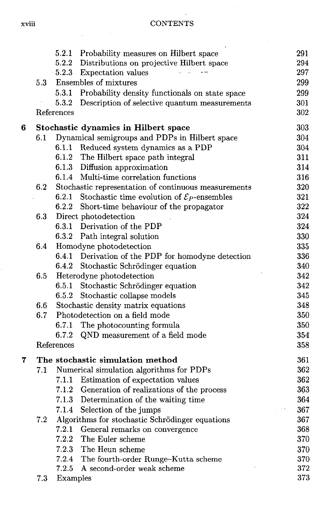|   |                                         | 5.2.1      | Probability measures on Hilbert space                   | 291 |  |
|---|-----------------------------------------|------------|---------------------------------------------------------|-----|--|
|   |                                         |            | 5.2.2 Distributions on projective Hilbert space         | 294 |  |
|   |                                         |            | 5.2.3 Expectation values                                | 297 |  |
|   | 5.3                                     |            | Ensembles of mixtures                                   | 299 |  |
|   |                                         | 5.3.1      | Probability density functionals on state space          | 299 |  |
|   |                                         | 5.3.2      | Description of selective quantum measurements           | 301 |  |
|   |                                         | References |                                                         | 302 |  |
| 6 |                                         |            | <b>Stochastic dynamics in Hilbert space</b>             | 303 |  |
|   | 6.1                                     |            | Dynamical semigroups and PDPs in Hilbert space          | 304 |  |
|   |                                         |            | 6.1.1 Reduced system dynamics as a PDP                  | 304 |  |
|   |                                         |            | 6.1.2 The Hilbert space path integral                   | 311 |  |
|   |                                         |            | 6.1.3 Diffusion approximation                           | 314 |  |
|   |                                         |            | 6.1.4 Multi-time correlation functions                  | 316 |  |
|   | 6.2                                     |            | Stochastic representation of continuous measurements    | 320 |  |
|   |                                         | 6.2.1      | Stochastic time evolution of $\mathcal{E}_P$ -ensembles | 321 |  |
|   |                                         |            | 6.2.2 Short-time behaviour of the propagator            | 322 |  |
|   | 6.3                                     |            | Direct photodetection                                   | 324 |  |
|   |                                         |            | 6.3.1 Derivation of the PDP                             | 324 |  |
|   |                                         |            | 6.3.2 Path integral solution                            | 330 |  |
|   | 6.4                                     |            | Homodyne photodetection                                 | 335 |  |
|   |                                         |            | 6.4.1 Derivation of the PDP for homodyne detection      | 336 |  |
|   |                                         |            | 6.4.2 Stochastic Schrödinger equation                   | 340 |  |
|   | $6.5\,$                                 |            | Heterodyne photodetection                               | 342 |  |
|   |                                         |            | 6.5.1 Stochastic Schrödinger equation                   | 342 |  |
|   |                                         |            | 6.5.2 Stochastic collapse models                        | 345 |  |
|   | 6.6                                     |            | Stochastic density matrix equations                     | 348 |  |
|   | 6.7                                     |            | Photodetection on a field mode                          | 350 |  |
|   |                                         |            | 6.7.1 The photocounting formula                         | 350 |  |
|   |                                         | 6.7.2      | QND measurement of a field mode                         | 354 |  |
|   |                                         | References |                                                         | 358 |  |
| 7 | The stochastic simulation method<br>361 |            |                                                         |     |  |
|   | 7.1                                     |            | Numerical simulation algorithms for PDPs                | 362 |  |
|   |                                         |            | 7.1.1 Estimation of expectation values                  | 362 |  |
|   |                                         |            | 7.1.2 Generation of realizations of the process         | 363 |  |
|   |                                         |            | 7.1.3 Determination of the waiting time                 | 364 |  |
|   |                                         |            | 7.1.4 Selection of the jumps                            | 367 |  |
|   | 7.2                                     |            | Algorithms for stochastic Schrödinger equations         | 367 |  |
|   |                                         | 7.2.1      | General remarks on convergence                          | 368 |  |
|   |                                         | 7.2.2      | The Euler scheme                                        | 370 |  |
|   |                                         | 7.2.3      | The Heun scheme                                         | 370 |  |
|   |                                         | 7.2.4      | The fourth-order Runge-Kutta scheme                     | 370 |  |
|   |                                         | 7.2.5      | A second-order weak scheme                              | 372 |  |
|   | $7.3\,$                                 | Examples   |                                                         | 373 |  |

ł,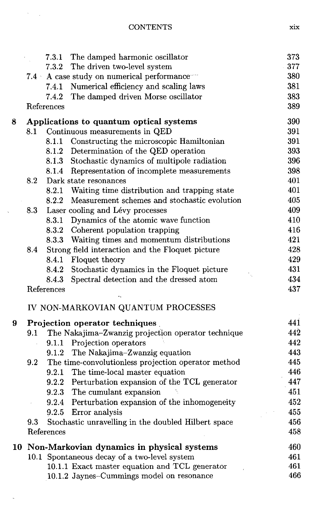**CONTENTS** 

 $\sim$ 

 $\bar{\lambda}$ 

 $\ddot{\phantom{0}}$ 

|   |                                                                   |            | 7.3.1 The damped harmonic oscillator                | 373 |
|---|-------------------------------------------------------------------|------------|-----------------------------------------------------|-----|
|   |                                                                   | 7.3.2      | The driven two-level system                         | 377 |
|   | $7.4~^{\circ}$                                                    |            | A case study on numerical performance               | 380 |
|   |                                                                   |            | 7.4.1 Numerical efficiency and scaling laws         | 381 |
|   |                                                                   | 7.4.2      | The damped driven Morse oscillator                  | 383 |
|   |                                                                   | References |                                                     | 389 |
| 8 |                                                                   |            | Applications to quantum optical systems             | 390 |
|   | 8.1                                                               |            | Continuous measurements in QED                      | 391 |
|   |                                                                   |            | 8.1.1 Constructing the microscopic Hamiltonian      | 391 |
|   |                                                                   |            | 8.1.2 Determination of the QED operation            | 393 |
|   |                                                                   |            | 8.1.3 Stochastic dynamics of multipole radiation    | 396 |
|   |                                                                   |            | 8.1.4 Representation of incomplete measurements     | 398 |
|   | 8.2                                                               |            | Dark state resonances                               | 401 |
|   |                                                                   | 8.2.1      | Waiting time distribution and trapping state        | 401 |
|   |                                                                   |            | 8.2.2 Measurement schemes and stochastic evolution  | 405 |
|   | 8.3                                                               |            | Laser cooling and Lévy processes                    | 409 |
|   |                                                                   |            | 8.3.1 Dynamics of the atomic wave function          | 410 |
|   |                                                                   |            | 8.3.2 Coherent population trapping                  | 416 |
|   |                                                                   |            | 8.3.3 Waiting times and momentum distributions      | 421 |
|   | 8.4                                                               |            | Strong field interaction and the Floquet picture    | 428 |
|   |                                                                   | 8.4.1      | Floquet theory                                      | 429 |
|   |                                                                   |            | 8.4.2 Stochastic dynamics in the Floquet picture    | 431 |
|   |                                                                   | 8.4.3      | Spectral detection and the dressed atom             | 434 |
|   |                                                                   | References |                                                     | 437 |
|   |                                                                   |            | IV NON-MARKOVIAN QUANTUM PROCESSES                  |     |
| 9 |                                                                   |            | Projection operator techniques                      | 441 |
|   | 9.1                                                               |            | The Nakajima-Zwanzig projection operator technique  | 442 |
|   |                                                                   |            | 9.1.1 Projection operators                          | 442 |
|   |                                                                   | 9.1.2      | The Nakajima-Zwanzig equation                       | 443 |
|   | 9.2                                                               |            | The time-convolutionless projection operator method | 445 |
|   |                                                                   |            | 9.2.1 The time-local master equation                | 446 |
|   |                                                                   |            | 9.2.2 Perturbation expansion of the TCL generator   | 447 |
|   |                                                                   |            | 9.2.3 The cumulant expansion                        | 451 |
|   |                                                                   |            | 9.2.4 Perturbation expansion of the inhomogeneity   | 452 |
|   |                                                                   |            | 9.2.5 Error analysis                                | 455 |
|   | Stochastic unravelling in the doubled Hilbert space<br>456<br>9.3 |            |                                                     |     |
|   |                                                                   | References |                                                     | 458 |
|   |                                                                   |            | 10 Non-Markovian dynamics in physical systems       | 460 |
|   |                                                                   |            | 10.1 Spontaneous decay of a two-level system        | 461 |
|   |                                                                   |            | 10.1.1 Exact master equation and TCL generator      | 461 |
|   |                                                                   |            | 10.1.2 Jaynes-Cummings model on resonance           | 466 |

xix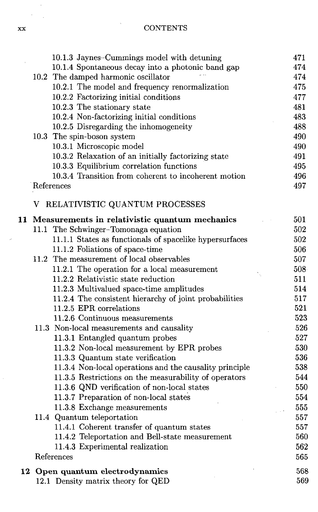| xх | <b>CONTENTS</b> |
|----|-----------------|
|    |                 |

i,

|   | 10.1.3 Jaynes-Cummings model with detuning              | 471 |
|---|---------------------------------------------------------|-----|
|   | 10.1.4 Spontaneous decay into a photonic band gap       | 474 |
|   | 10.2 The damped harmonic oscillator                     | 474 |
|   | 10.2.1 The model and frequency renormalization          | 475 |
|   | 10.2.2 Factorizing initial conditions                   | 477 |
|   | 10.2.3 The stationary state                             | 481 |
|   | 10.2.4 Non-factorizing initial conditions               | 483 |
|   | 10.2.5 Disregarding the inhomogeneity                   | 488 |
|   | 10.3 The spin-boson system                              | 490 |
|   | 10.3.1 Microscopic model                                | 490 |
|   | 10.3.2 Relaxation of an initially factorizing state     | 491 |
|   | 10.3.3 Equilibrium correlation functions                | 495 |
|   | 10.3.4 Transition from coherent to incoherent motion    | 496 |
|   | References                                              | 497 |
| V | RELATIVISTIC QUANTUM PROCESSES                          |     |
|   | 11 Measurements in relativistic quantum mechanics       | 501 |
|   | 11.1 The Schwinger-Tomonaga equation                    | 502 |
|   | 11.1.1 States as functionals of spacelike hypersurfaces | 502 |
|   | 11.1.2 Foliations of space-time                         | 506 |
|   | 11.2 The measurement of local observables               | 507 |
|   | 11.2.1 The operation for a local measurement            | 508 |
|   | 11.2.2 Relativistic state reduction                     | 511 |
|   | 11.2.3 Multivalued space-time amplitudes                | 514 |
|   | 11.2.4 The consistent hierarchy of joint probabilities  | 517 |
|   | 11.2.5 EPR correlations                                 | 521 |
|   | 11.2.6 Continuous measurements                          | 523 |
|   | 11.3 Non-local measurements and causality               | 526 |
|   | 11.3.1 Entangled quantum probes                         | 527 |
|   | 11.3.2 Non-local measurement by EPR probes              | 530 |
|   | 11.3.3 Quantum state verification                       | 536 |
|   | 11.3.4 Non-local operations and the causality principle | 538 |
|   | 11.3.5 Restrictions on the measurability of operators   | 544 |
|   | 11.3.6 QND verification of non-local states             | 550 |
|   | 11.3.7 Preparation of non-local states                  | 554 |
|   | 11.3.8 Exchange measurements                            | 555 |
|   | 11.4 Quantum teleportation                              | 557 |
|   | 11.4.1 Coherent transfer of quantum states              | 557 |
|   | 11.4.2 Teleportation and Bell-state measurement         | 560 |
|   | 11.4.3 Experimental realization                         | 562 |
|   | References                                              | 565 |
|   | 12 Open quantum electrodynamics                         | 568 |
|   | 12.1 Density matrix theory for QED                      | 569 |

J,

 $\bar{\beta}$  $\frac{1}{2} \sum_{i=1}^{n}$